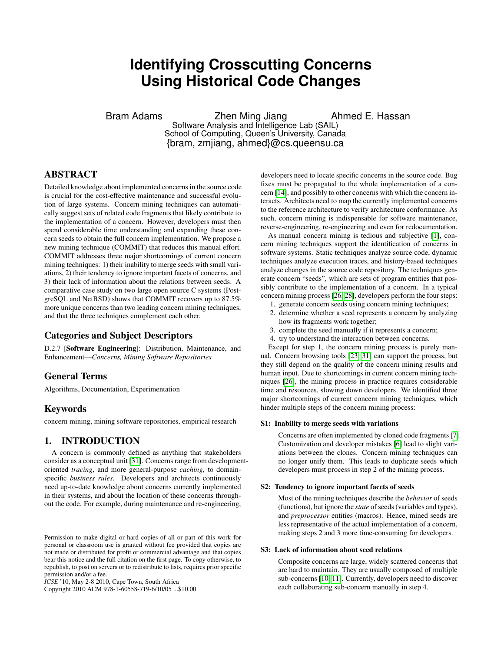# **Identifying Crosscutting Concerns Using Historical Code Changes**

Bram Adams **Zhen Ming Jiang** Ahmed E. Hassan Software Analysis and Intelligence Lab (SAIL)

School of Computing, Queen's University, Canada {bram, zmjiang, ahmed}@cs.queensu.ca

# ABSTRACT

Detailed knowledge about implemented concerns in the source code is crucial for the cost-effective maintenance and successful evolution of large systems. Concern mining techniques can automatically suggest sets of related code fragments that likely contribute to the implementation of a concern. However, developers must then spend considerable time understanding and expanding these concern seeds to obtain the full concern implementation. We propose a new mining technique (COMMIT) that reduces this manual effort. COMMIT addresses three major shortcomings of current concern mining techniques: 1) their inability to merge seeds with small variations, 2) their tendency to ignore important facets of concerns, and 3) their lack of information about the relations between seeds. A comparative case study on two large open source C systems (PostgreSQL and NetBSD) shows that COMMIT recovers up to 87.5% more unique concerns than two leading concern mining techniques, and that the three techniques complement each other.

# Categories and Subject Descriptors

D.2.7 [Software Engineering]: Distribution, Maintenance, and Enhancement—*Concerns, Mining Software Repositories*

# General Terms

Algorithms, Documentation, Experimentation

# Keywords

concern mining, mining software repositories, empirical research

# 1. INTRODUCTION

A concern is commonly defined as anything that stakeholders consider as a conceptual unit [\[31\]](#page-9-0). Concerns range from developmentoriented *tracing*, and more general-purpose *caching*, to domainspecific *business rules*. Developers and architects continuously need up-to-date knowledge about concerns currently implemented in their systems, and about the location of these concerns throughout the code. For example, during maintenance and re-engineering,

Copyright 2010 ACM 978-1-60558-719-6/10/05 ...\$10.00.

developers need to locate specific concerns in the source code. Bug fixes must be propagated to the whole implementation of a concern [\[14\]](#page-9-1), and possibly to other concerns with which the concern interacts. Architects need to map the currently implemented concerns to the reference architecture to verify architecture conformance. As such, concern mining is indispensable for software maintenance, reverse-engineering, re-engineering and even for redocumentation.

As manual concern mining is tedious and subjective [\[1\]](#page-8-0), concern mining techniques support the identification of concerns in software systems. Static techniques analyze source code, dynamic techniques analyze execution traces, and history-based techniques analyze changes in the source code repository. The techniques generate concern "seeds", which are sets of program entities that possibly contribute to the implementation of a concern. In a typical concern mining process [\[26,](#page-9-2) [28\]](#page-9-3), developers perform the four steps:

- 1. generate concern seeds using concern mining techniques;
- 2. determine whether a seed represents a concern by analyzing how its fragments work together;
- 3. complete the seed manually if it represents a concern;
- 4. try to understand the interaction between concerns.

Except for step 1, the concern mining process is purely manual. Concern browsing tools [\[23,](#page-9-4) [31\]](#page-9-0) can support the process, but they still depend on the quality of the concern mining results and human input. Due to shortcomings in current concern mining techniques [\[26\]](#page-9-2), the mining process in practice requires considerable time and resources, slowing down developers. We identified three major shortcomings of current concern mining techniques, which hinder multiple steps of the concern mining process:

#### S1: Inability to merge seeds with variations

Concerns are often implemented by cloned code fragments [\[7\]](#page-9-5). Customization and developer mistakes [\[6\]](#page-8-1) lead to slight variations between the clones. Concern mining techniques can no longer unify them. This leads to duplicate seeds which developers must process in step 2 of the mining process.

#### S2: Tendency to ignore important facets of seeds

Most of the mining techniques describe the *behavior* of seeds (functions), but ignore the *state* of seeds (variables and types), and *preprocessor* entities (macros). Hence, mined seeds are less representative of the actual implementation of a concern, making steps 2 and 3 more time-consuming for developers.

#### S3: Lack of information about seed relations

Composite concerns are large, widely scattered concerns that are hard to maintain. They are usually composed of multiple sub-concerns [\[10,](#page-9-6) [11\]](#page-9-7). Currently, developers need to discover each collaborating sub-concern manually in step 4.

Permission to make digital or hard copies of all or part of this work for personal or classroom use is granted without fee provided that copies are not made or distributed for profit or commercial advantage and that copies bear this notice and the full citation on the first page. To copy otherwise, to republish, to post on servers or to redistribute to lists, requires prior specific permission and/or a fee.

*ICSE* '10, May 2-8 2010, Cape Town, South Africa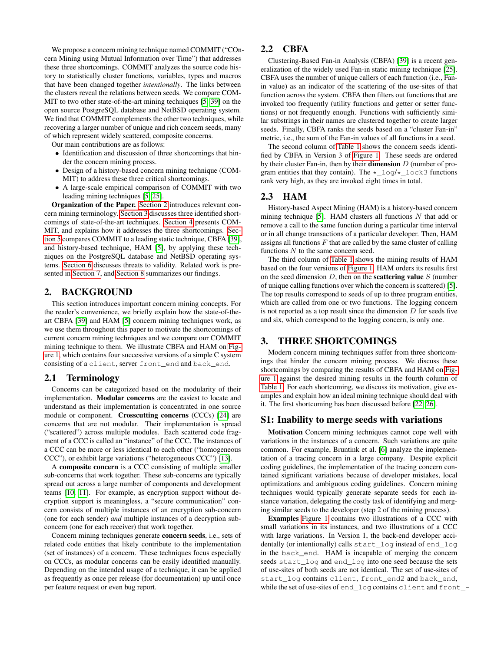We propose a concern mining technique named COMMIT ("COncern Mining using Mutual Information over Time") that addresses these three shortcomings. COMMIT analyzes the source code history to statistically cluster functions, variables, types and macros that have been changed together *intentionally*. The links between the clusters reveal the relations between seeds. We compare COM-MIT to two other state-of-the-art mining techniques [\[5,](#page-8-2) [39\]](#page-9-8) on the open source PostgreSQL database and NetBSD operating system. We find that COMMIT complements the other two techniques, while recovering a larger number of unique and rich concern seeds, many of which represent widely scattered, composite concerns.

Our main contributions are as follows:

- Identification and discussion of three shortcomings that hinder the concern mining process.
- Design of a history-based concern mining technique (COM-MIT) to address these three critical shortcomings.
- A large-scale empirical comparison of COMMIT with two leading mining techniques [\[5,](#page-8-2) [25\]](#page-9-9).

Organization of the Paper. [Section 2](#page-1-0) introduces relevant concern mining terminology. [Section 3](#page-1-1) discusses three identified shortcomings of state-of-the-art techniques. [Section 4](#page-3-0) presents COM-MIT, and explains how it addresses the three shortcomings. [Sec](#page-4-0)[tion 5](#page-4-0) compares COMMIT to a leading static technique, CBFA [\[39\]](#page-9-8), and history-based technique, HAM [\[5\]](#page-8-2), by applying these techniques on the PostgreSQL database and NetBSD operating systems. [Section 6](#page-7-0) discusses threats to validity. Related work is presented in [Section 7,](#page-8-3) and [Section 8](#page-8-4) summarizes our findings.

#### <span id="page-1-0"></span>2. BACKGROUND

This section introduces important concern mining concepts. For the reader's convenience, we briefly explain how the state-of-theart CBFA [\[39\]](#page-9-8) and HAM [\[5\]](#page-8-2) concern mining techniques work, as we use them throughout this paper to motivate the shortcomings of current concern mining techniques and we compare our COMMIT mining technique to them. We illustrate CBFA and HAM on [Fig](#page-2-0)[ure 1,](#page-2-0) which contains four successive versions of a simple C system consisting of a client, server front\_end and back\_end.

#### <span id="page-1-2"></span>2.1 Terminology

Concerns can be categorized based on the modularity of their implementation. Modular concerns are the easiest to locate and understand as their implementation is concentrated in one source module or component. Crosscutting concerns (CCCs) [\[24\]](#page-9-10) are concerns that are not modular. Their implementation is spread ("scattered") across multiple modules. Each scattered code fragment of a CCC is called an "instance" of the CCC. The instances of a CCC can be more or less identical to each other ("homogeneous CCC"), or exhibit large variations ("heterogeneous CCC") [\[13\]](#page-9-11).

A composite concern is a CCC consisting of multiple smaller sub-concerns that work together. These sub-concerns are typically spread out across a large number of components and development teams [\[10,](#page-9-6) [11\]](#page-9-7). For example, as encryption support without decryption support is meaningless, a "secure communication" concern consists of multiple instances of an encryption sub-concern (one for each sender) *and* multiple instances of a decryption subconcern (one for each receiver) that work together.

Concern mining techniques generate concern seeds, i.e., sets of related code entities that likely contribute to the implementation (set of instances) of a concern. These techniques focus especially on CCCs, as modular concerns can be easily identified manually. Depending on the intended usage of a technique, it can be applied as frequently as once per release (for documentation) up until once per feature request or even bug report.

# 2.2 CBFA

Clustering-Based Fan-in Analysis (CBFA) [\[39\]](#page-9-8) is a recent generalization of the widely used Fan-in static mining technique [\[25\]](#page-9-9). CBFA uses the number of unique callers of each function (i.e., Fanin value) as an indicator of the scattering of the use-sites of that function across the system. CBFA then filters out functions that are invoked too frequently (utility functions and getter or setter functions) or not frequently enough. Functions with sufficiently similar substrings in their names are clustered together to create larger seeds. Finally, CBFA ranks the seeds based on a "cluster Fan-in" metric, i.e., the sum of the Fan-in values of all functions in a seed.

The second column of [Table 1](#page-2-1) shows the concern seeds identified by CBFA in Version 3 of [Figure 1.](#page-2-0) These seeds are ordered by their cluster Fan-in, then by their **dimension**  $D$  (number of program entities that they contain). The  $\star$  log/ $\star$  lock3 functions rank very high, as they are invoked eight times in total.

## 2.3 HAM

History-based Aspect Mining (HAM) is a history-based concern mining technique [\[5\]](#page-8-2). HAM clusters all functions  $N$  that add or remove a call to the same function during a particular time interval or in all change transactions of a particular developer. Then, HAM assigns all functions  $F$  that are called by the same cluster of calling functions N to the same concern seed.

The third column of [Table 1](#page-2-1) shows the mining results of HAM based on the four versions of [Figure 1.](#page-2-0) HAM orders its results first on the seed dimension  $D$ , then on the **scattering value**  $S$  (number of unique calling functions over which the concern is scattered) [\[5\]](#page-8-2). The top results correspond to seeds of up to three program entities, which are called from one or two functions. The logging concern is not reported as a top result since the dimension  $D$  for seeds five and six, which correspond to the logging concern, is only one.

## <span id="page-1-1"></span>3. THREE SHORTCOMINGS

Modern concern mining techniques suffer from three shortcomings that hinder the concern mining process. We discuss these shortcomings by comparing the results of CBFA and HAM on [Fig](#page-2-0)[ure 1](#page-2-0) against the desired mining results in the fourth column of [Table 1.](#page-2-1) For each shortcoming, we discuss its motivation, give examples and explain how an ideal mining technique should deal with it. The first shortcoming has been discussed before [\[22,](#page-9-12) [26\]](#page-9-2).

## S1: Inability to merge seeds with variations

<span id="page-1-3"></span>Motivation Concern mining techniques cannot cope well with variations in the instances of a concern. Such variations are quite common. For example, Bruntink et al. [\[6\]](#page-8-1) analyze the implementation of a tracing concern in a large company. Despite explicit coding guidelines, the implementation of the tracing concern contained significant variations because of developer mistakes, local optimizations and ambiguous coding guidelines. Concern mining techniques would typically generate separate seeds for each instance variation, delegating the costly task of identifying and merging similar seeds to the developer (step 2 of the mining process).

Examples [Figure 1](#page-2-0) contains two illustrations of a CCC with small variations in its instances, and two illustrations of a CCC with large variations. In Version 1, the back-end developer accidentally (or intentionally) calls start\_log instead of end\_log in the back\_end. HAM is incapable of merging the concern seeds start\_log and end\_log into one seed because the sets of use-sites of both seeds are not identical. The set of use-sites of start\_log contains client, front\_end2 and back\_end, while the set of use-sites of end\_log contains client and front\_-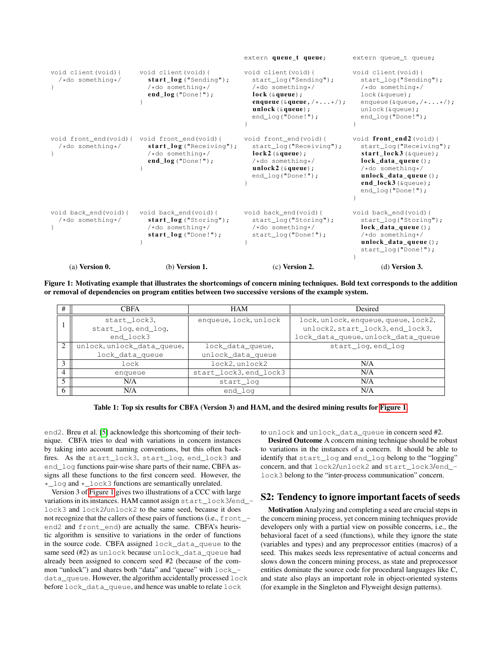|                                            |                                                                                                   | extern queue_t queue;                                                                                                                                                                      | extern queue_t queue;                                                                                                                                                                                                             |
|--------------------------------------------|---------------------------------------------------------------------------------------------------|--------------------------------------------------------------------------------------------------------------------------------------------------------------------------------------------|-----------------------------------------------------------------------------------------------------------------------------------------------------------------------------------------------------------------------------------|
| void client (void) {<br>/*do something*/   | void client (void) {<br>$start_log("Sending");$<br>/*do something*/<br>$end_log("Done!");$        | void client (void) {<br>start_log("Sending");<br>/*do something*/<br>$lock$ ( $\&$ queue) ;<br>enqueue ( $\&$ queue, $/\star$ $\star$ /);<br>unlock $(\xi queue);$<br>$end\_log("Done!");$ | void client (void) {<br>start_log("Sending");<br>/*do something*/<br>$lock$ ( $αqueue$ );<br>enqueue ( $\text{degree}, \text{/} \star \ldots \star \text{/}$ );<br>$unlock($ &queue $);$<br>$end\_log("Done!");$                  |
| void front_end(void){<br>/*do something*/  | void front_end(void){<br>$start\_log$ ("Receiving");<br>/*do something*/<br>$end_log("Done!");$   | void front_end(void){<br>start_log("Receiving");<br>$lock2$ ( $\&$ queue);<br>/*do something*/<br>unlock2 $(\&$ queue);<br>end log("Done!");                                               | void $front\_end2$ (void) {<br>start_log("Receiving");<br>$start\_lock3$ ( $\text{square}$ );<br>$lock_data_queue()$ ;<br>/*do something*/<br>unlock_data_queue $()$ ;<br>end_lock3 ( $\text{\&}$ queue);<br>$end\_log("Done!");$ |
| void back end (void) {<br>/*do something*/ | void back end (void) {<br>$start_log("Storing")$ ;<br>/*do something*/<br>$start\_log$ ("Done!"); | void back_end(void){<br>start_log("Storing");<br>$/\star$ do something */<br>$start\_log("Done!");$                                                                                        | void back_end(void){<br>start_log("Storing");<br>lock data queue $()$ ;<br>/*do something*/<br>unlock_data_queue $()$ ;<br>$start\_log("Done!");$                                                                                 |
| $(a)$ Version $0$ .                        | $(b)$ Version 1.                                                                                  | $(c)$ Version 2.                                                                                                                                                                           | $(d)$ Version 3.                                                                                                                                                                                                                  |

Figure 1: Motivating example that illustrates the shortcomings of concern mining techniques. Bold text corresponds to the addition or removal of dependencies on program entities between two successive versions of the example system.

<span id="page-2-2"></span><span id="page-2-0"></span>

| #              | <b>CBFA</b>                | HAM                    | Desired                              |
|----------------|----------------------------|------------------------|--------------------------------------|
|                | start_lock3,               | enqueue, lock, unlock  | lock, unlock, enqueue, queue, lock2, |
|                | start_log, end_log,        |                        | unlock2, start_lock3, end_lock3,     |
|                | end lock3                  |                        | lock_data_queue, unlock_data_queue   |
| 2              | unlock, unlock_data_queue, | lock_data_queue,       | start_log.end_log                    |
|                | lock_data_queue            | unlock_data_queue      |                                      |
| 3              | lock                       | lock2, unlock2         | N/A                                  |
| $\overline{4}$ | enqueue                    | start_lock3, end_lock3 | N/A                                  |
| 5              | N/A                        | start_loq              | N/A                                  |
| 6              | N/A                        | end_log                | N/A                                  |

<span id="page-2-1"></span>Table 1: Top six results for CBFA (Version 3) and HAM, and the desired mining results for [Figure 1.](#page-2-0)

end2. Breu et al. [\[5\]](#page-8-2) acknowledge this shortcoming of their technique. CBFA tries to deal with variations in concern instances by taking into account naming conventions, but this often backfires. As the start\_lock3, start\_log, end\_lock3 and end\_log functions pair-wise share parts of their name, CBFA assigns all these functions to the first concern seed. However, the \*\_log and \*\_lock3 functions are semantically unrelated.

Version 3 of [Figure 1](#page-2-0) gives two illustrations of a CCC with large variations in its instances. HAM cannot assign start\_lock3/end\_ lock3 and lock2/unlock2 to the same seed, because it does not recognize that the callers of these pairs of functions (i.e., front\_ end2 and front\_end) are actually the same. CBFA's heuristic algorithm is sensitive to variations in the order of functions in the source code. CBFA assigned lock\_data\_queue to the same seed (#2) as unlock because unlock\_data\_queue had already been assigned to concern seed #2 (because of the common "unlock") and shares both "data" and "queue" with lock\_ data\_queue. However, the algorithm accidentally processed lock before lock\_data\_queue, and hence was unable to relate lock

<span id="page-2-3"></span>to unlock and unlock\_data\_queue in concern seed #2.

Desired Outcome A concern mining technique should be robust to variations in the instances of a concern. It should be able to identify that start\_log and end\_log belong to the "logging" concern, and that lock2/unlock2 and start\_lock3/end\_ lock3 belong to the "inter-process communication" concern.

# S2: Tendency to ignore important facets of seeds

Motivation Analyzing and completing a seed are crucial steps in the concern mining process, yet concern mining techniques provide developers only with a partial view on possible concerns, i.e., the behavioral facet of a seed (functions), while they ignore the state (variables and types) and any preprocessor entities (macros) of a seed. This makes seeds less representative of actual concerns and slows down the concern mining process, as state and preprocessor entities dominate the source code for procedural languages like C, and state also plays an important role in object-oriented systems (for example in the Singleton and Flyweight design patterns).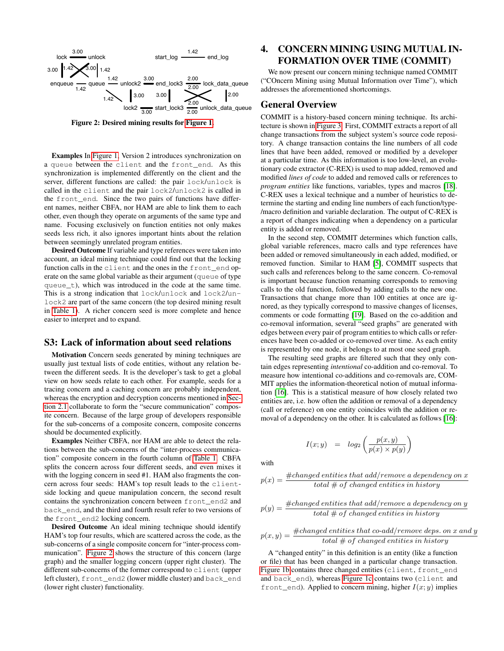

<span id="page-3-1"></span>Figure 2: Desired mining results for [Figure 1.](#page-2-0)

Examples In [Figure 1,](#page-2-0) Version 2 introduces synchronization on a queue between the client and the front\_end. As this synchronization is implemented differently on the client and the server, different functions are called: the pair lock/unlock is called in the client and the pair lock2/unlock2 is called in the front\_end. Since the two pairs of functions have different names, neither CBFA, nor HAM are able to link them to each other, even though they operate on arguments of the same type and name. Focusing exclusively on function entities not only makes seeds less rich, it also ignores important hints about the relation between seemingly unrelated program entities.

Desired Outcome If variable and type references were taken into account, an ideal mining technique could find out that the locking function calls in the client and the ones in the front\_end operate on the same global variable as their argument (queue of type queue\_t), which was introduced in the code at the same time. This is a strong indication that lock/unlock and lock2/unlock2 are part of the same concern (the top desired mining result in [Table 1\)](#page-2-1). A richer concern seed is more complete and hence easier to interpret and to expand.

#### S3: Lack of information about seed relations

Motivation Concern seeds generated by mining techniques are usually just textual lists of code entities, without any relation between the different seeds. It is the developer's task to get a global view on how seeds relate to each other. For example, seeds for a tracing concern and a caching concern are probably independent, whereas the encryption and decryption concerns mentioned in [Sec](#page-1-2)[tion 2.1](#page-1-2) collaborate to form the "secure communication" composite concern. Because of the large group of developers responsible for the sub-concerns of a composite concern, composite concerns should be documented explicitly.

Examples Neither CBFA, nor HAM are able to detect the relations between the sub-concerns of the "inter-process communication" composite concern in the fourth column of [Table 1.](#page-2-1) CBFA splits the concern across four different seeds, and even mixes it with the logging concern in seed #1. HAM also fragments the concern across four seeds: HAM's top result leads to the clientside locking and queue manipulation concern, the second result contains the synchronization concern between front\_end2 and back\_end, and the third and fourth result refer to two versions of the front\_end2 locking concern.

Desired Outcome An ideal mining technique should identify HAM's top four results, which are scattered across the code, as the sub-concerns of a single composite concern for "inter-process communication". [Figure 2](#page-3-1) shows the structure of this concern (large graph) and the smaller logging concern (upper right cluster). The different sub-concerns of the former correspond to client (upper left cluster), front\_end2 (lower middle cluster) and back\_end (lower right cluster) functionality.

# <span id="page-3-0"></span>4. CONCERN MINING USING MUTUAL IN-FORMATION OVER TIME (COMMIT)

We now present our concern mining technique named COMMIT ("COncern Mining using Mutual Information over Time"), which addresses the aforementioned shortcomings.

#### General Overview

<span id="page-3-2"></span>COMMIT is a history-based concern mining technique. Its architecture is shown in [Figure 3.](#page-4-1) First, COMMIT extracts a report of all change transactions from the subject system's source code repository. A change transaction contains the line numbers of all code lines that have been added, removed or modified by a developer at a particular time. As this information is too low-level, an evolutionary code extractor (C-REX) is used to map added, removed and modified *lines of code* to added and removed calls or references to *program entities* like functions, variables, types and macros [\[18\]](#page-9-13). C-REX uses a lexical technique and a number of heuristics to determine the starting and ending line numbers of each function/type- /macro definition and variable declaration. The output of C-REX is a report of changes indicating when a dependency on a particular entity is added or removed.

In the second step, COMMIT determines which function calls, global variable references, macro calls and type references have been added or removed simultaneously in each added, modified, or removed function. Similar to HAM [\[5\]](#page-8-2), COMMIT suspects that such calls and references belong to the same concern. Co-removal is important because function renaming corresponds to removing calls to the old function, followed by adding calls to the new one. Transactions that change more than 100 entities at once are ignored, as they typically correspond to massive changes of licenses, comments or code formatting [\[19\]](#page-9-14). Based on the co-addition and co-removal information, several "seed graphs" are generated with edges between every pair of program entities to which calls or references have been co-added or co-removed over time. As each entity is represented by one node, it belongs to at most one seed graph.

The resulting seed graphs are filtered such that they only contain edges representing *intentional* co-addition and co-removal. To measure how intentional co-additions and co-removals are, COM-MIT applies the information-theoretical notion of mutual information [\[16\]](#page-9-15). This is a statistical measure of how closely related two entities are, i.e. how often the addition or removal of a dependency (call or reference) on one entity coincides with the addition or removal of a dependency on the other. It is calculated as follows [\[16\]](#page-9-15):

$$
I(x;y) \quad = \quad log_2\left(\frac{p(x,y)}{p(x)\times p(y)}\right)
$$

with

$$
p(x) = \frac{\#changed\ entities\ that\ add/remove\ a\ dependency\ on\ x}{total\ #\ of\ changed\ entities\ in\ history}
$$

$$
p(y) = \frac{\#changed\ entities\ that\ add/remove\ a\ dependency\ on\ y}{total\ #\ of\ changed\ entities\ in\ history}
$$

$$
p(x,y) = \frac{\#changed\ entities\ that\ co-add/remove\ deposit\ so\ x\ and\ y}{total\ #\ of\ changed\ entities\ in\ history}
$$

A "changed entity" in this definition is an entity (like a function or file) that has been changed in a particular change transaction. [Figure 1b](#page-2-2) contains three changed entities (client, front\_end and back\_end), whereas [Figure 1c](#page-2-3) contains two (client and front\_end). Applied to concern mining, higher  $I(x; y)$  implies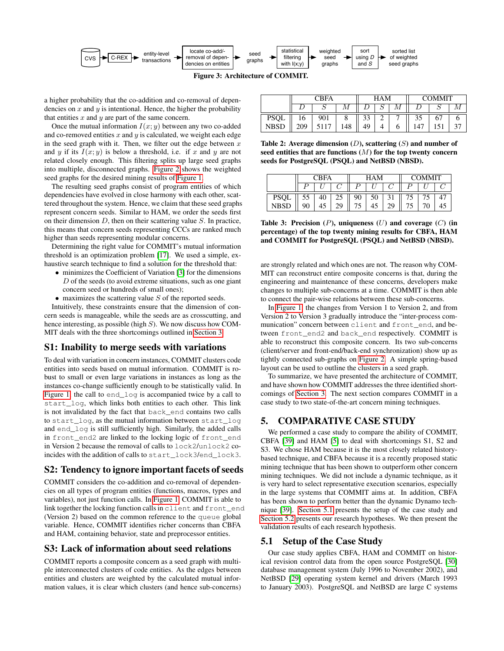

<span id="page-4-1"></span>Figure 3: Architecture of COMMIT.

a higher probability that the co-addition and co-removal of dependencies on  $x$  and  $y$  is intentional. Hence, the higher the probability that entities  $x$  and  $y$  are part of the same concern.

Once the mutual information  $I(x; y)$  between any two co-added and co-removed entities  $x$  and  $y$  is calculated, we weight each edge in the seed graph with it. Then, we filter out the edge between  $x$ and y if its  $I(x; y)$  is below a threshold, i.e. if x and y are not related closely enough. This filtering splits up large seed graphs into multiple, disconnected graphs. [Figure 2](#page-3-1) shows the weighted seed graphs for the desired mining results of [Figure 1.](#page-2-0)

The resulting seed graphs consist of program entities of which dependencies have evolved in close harmony with each other, scattered throughout the system. Hence, we claim that these seed graphs represent concern seeds. Similar to HAM, we order the seeds first on their dimension  $D$ , then on their scattering value  $S$ . In practice, this means that concern seeds representing CCCs are ranked much higher than seeds representing modular concerns.

Determining the right value for COMMIT's mutual information threshold is an optimization problem [\[17\]](#page-9-16). We used a simple, exhaustive search technique to find a solution for the threshold that:

- minimizes the Coefficient of Variation [\[3\]](#page-8-5) for the dimensions  $D$  of the seeds (to avoid extreme situations, such as one giant concern seed or hundreds of small ones);
- $\bullet$  maximizes the scattering value  $S$  of the reported seeds.

Intuitively, these constraints ensure that the dimension of concern seeds is manageable, while the seeds are as crosscutting, and hence interesting, as possible (high  $S$ ). We now discuss how COM-MIT deals with the three shortcomings outlined in [Section 3.](#page-1-1)

# S1: Inability to merge seeds with variations

To deal with variation in concern instances, COMMIT clusters code entities into seeds based on mutual information. COMMIT is robust to small or even large variations in instances as long as the instances co-change sufficiently enough to be statistically valid. In [Figure 1,](#page-2-0) the call to end\_log is accompanied twice by a call to start\_log, which links both entities to each other. This link is not invalidated by the fact that back\_end contains two calls to start\_log, as the mutual information between start\_log and end\_log is still sufficiently high. Similarly, the added calls in front\_end2 are linked to the locking logic of front\_end in Version 2 because the removal of calls to lock2/unlock2 coincides with the addition of calls to start\_lock3/end\_lock3.

# S2: Tendency to ignore important facets of seeds

COMMIT considers the co-addition and co-removal of dependencies on all types of program entities (functions, macros, types and variables), not just function calls. In [Figure 1,](#page-2-0) COMMIT is able to link together the locking function calls in client and front\_end (Version 2) based on the common reference to the queue global variable. Hence, COMMIT identifies richer concerns than CBFA and HAM, containing behavior, state and preprocessor entities.

# S3: Lack of information about seed relations

COMMIT reports a composite concern as a seed graph with multiple interconnected clusters of code entities. As the edges between entities and clusters are weighted by the calculated mutual information values, it is clear which clusters (and hence sub-concerns)

|             | <b>CBFA</b> |      |     | HAM |   |   | <b>COMMIT</b> |                |  |
|-------------|-------------|------|-----|-----|---|---|---------------|----------------|--|
|             |             |      |     |     | ມ | М |               |                |  |
| <b>PSQL</b> | 10.         | 901  | u   | 33  | ∼ |   | 35            | 6 <sup>7</sup> |  |
| NBSD        | 209         | 5117 | 148 | 49  |   | O | 47.           |                |  |

<span id="page-4-3"></span>Table 2: Average dimension  $(D)$ , scattering  $(S)$  and number of seed entities that are functions  $(M)$  for the top twenty concern seeds for PostgreSQL (PSQL) and NetBSD (NBSD).

| ∩RFA        |     | <b>HAM</b> |    |    | <b>COMMIT</b> |  |  |  |  |
|-------------|-----|------------|----|----|---------------|--|--|--|--|
|             |     |            |    |    |               |  |  |  |  |
| <b>PSQL</b> | ر ر |            | 23 | 90 |               |  |  |  |  |
| NR.         |     | ŦJ         | 20 | J  |               |  |  |  |  |

<span id="page-4-4"></span>Table 3: Precision  $(P)$ , uniqueness  $(U)$  and coverage  $(C)$  (in percentage) of the top twenty mining results for CBFA, HAM and COMMIT for PostgreSQL (PSQL) and NetBSD (NBSD).

are strongly related and which ones are not. The reason why COM-MIT can reconstruct entire composite concerns is that, during the engineering and maintenance of these concerns, developers make changes to multiple sub-concerns at a time. COMMIT is then able to connect the pair-wise relations between these sub-concerns.

In [Figure 1,](#page-2-0) the changes from Version 1 to Version 2, and from Version 2 to Version 3 gradually introduce the "inter-process communication" concern between client and front\_end, and between front\_end2 and back\_end respectively. COMMIT is able to reconstruct this composite concern. Its two sub-concerns (client/server and front-end/back-end synchronization) show up as tightly connected sub-graphs on [Figure 2.](#page-3-1) A simple spring-based layout can be used to outline the clusters in a seed graph.

To summarize, we have presented the architecture of COMMIT, and have shown how COMMIT addresses the three identified shortcomings of [Section 3.](#page-1-1) The next section compares COMMIT in a case study to two state-of-the-art concern mining techniques.

# <span id="page-4-0"></span>5. COMPARATIVE CASE STUDY

We performed a case study to compare the ability of COMMIT, CBFA [\[39\]](#page-9-8) and HAM [\[5\]](#page-8-2) to deal with shortcomings S1, S2 and S3. We chose HAM because it is the most closely related historybased technique, and CBFA because it is a recently proposed static mining technique that has been shown to outperform other concern mining techniques. We did not include a dynamic technique, as it is very hard to select representative execution scenarios, especially in the large systems that COMMIT aims at. In addition, CBFA has been shown to perform better than the dynamic Dynamo technique [\[39\]](#page-9-8). [Section 5.1](#page-4-2) presents the setup of the case study and [Section 5.2](#page-5-0) presents our research hypotheses. We then present the validation results of each research hypothesis.

## <span id="page-4-2"></span>5.1 Setup of the Case Study

Our case study applies CBFA, HAM and COMMIT on historical revision control data from the open source PostgreSQL [\[30\]](#page-9-17) database management system (July 1996 to November 2002), and NetBSD [\[29\]](#page-9-18) operating system kernel and drivers (March 1993 to January 2003). PostgreSQL and NetBSD are large C systems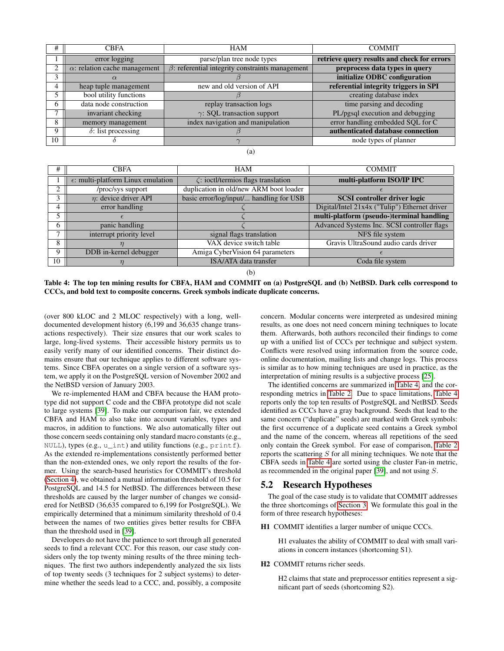| Ħ  | <b>CBFA</b>                          | <b>HAM</b>                                             | <b>COMMIT</b>                               |
|----|--------------------------------------|--------------------------------------------------------|---------------------------------------------|
|    | error logging                        | parse/plan tree node types                             | retrieve query results and check for errors |
|    | $\alpha$ : relation cache management | $\beta$ : referential integrity constraints management | preprocess data types in query              |
|    |                                      |                                                        | initialize ODBC configuration               |
|    | heap tuple management                | new and old version of API                             | referential integrity triggers in SPI       |
|    | bool utility functions               |                                                        | creating database index                     |
| 6  | data node construction               | replay transaction logs                                | time parsing and decoding                   |
|    | invariant checking                   | $\gamma$ : SQL transaction support                     | PL/pgsql execution and debugging            |
| 8  | memory management                    | index navigation and manipulation                      | error handling embedded SQL for C           |
| 9  | $\delta$ : list processing           |                                                        | authenticated database connection           |
| 10 |                                      |                                                        | node types of planner                       |

(a)

| #  | <b>CBFA</b>                                 | <b>HAM</b>                                | <b>COMMIT</b>                                 |
|----|---------------------------------------------|-------------------------------------------|-----------------------------------------------|
|    | $\epsilon$ : multi-platform Linux emulation | $\zeta$ : ioctl/termios flags translation | multi-platform ISO/IP IPC                     |
|    | /proc/sys support                           | duplication in old/new ARM boot loader    |                                               |
|    | $\eta$ : device driver API                  | basic error/log/input/ handling for USB   | <b>SCSI</b> controller driver logic           |
| 4  | error handling                              |                                           | Digital/Intel 21x4x ("Tulip") Ethernet driver |
|    |                                             |                                           | multi-platform (pseudo-)terminal handling     |
| 6  | panic handling                              |                                           | Advanced Systems Inc. SCSI controller flags   |
|    | interrupt priority level                    | signal flags translation                  | NFS file system                               |
| 8  |                                             | VAX device switch table                   | Gravis UltraSound audio cards driver          |
| 9  | DDB in-kernel debugger                      | Amiga CyberVision 64 parameters           |                                               |
| 10 |                                             | ISA/ATA data transfer                     | Coda file system                              |

(b)

<span id="page-5-1"></span>Table 4: The top ten mining results for CBFA, HAM and COMMIT on (a) PostgreSQL and (b) NetBSD. Dark cells correspond to CCCs, and bold text to composite concerns. Greek symbols indicate duplicate concerns.

(over 800 kLOC and 2 MLOC respectively) with a long, welldocumented development history (6,199 and 36,635 change transactions respectively). Their size ensures that our work scales to large, long-lived systems. Their accessible history permits us to easily verify many of our identified concerns. Their distinct domains ensure that our technique applies to different software systems. Since CBFA operates on a single version of a software system, we apply it on the PostgreSQL version of November 2002 and the NetBSD version of January 2003.

We re-implemented HAM and CBFA because the HAM prototype did not support C code and the CBFA prototype did not scale to large systems [\[39\]](#page-9-8). To make our comparison fair, we extended CBFA and HAM to also take into account variables, types and macros, in addition to functions. We also automatically filter out those concern seeds containing only standard macro constants (e.g., NULL), types (e.g., u\_int) and utility functions (e.g., printf). As the extended re-implementations consistently performed better than the non-extended ones, we only report the results of the former. Using the search-based heuristics for COMMIT's threshold [\(Section 4\)](#page-3-2), we obtained a mutual information threshold of 10.5 for PostgreSQL and 14.5 for NetBSD. The differences between these thresholds are caused by the larger number of changes we considered for NetBSD (36,635 compared to 6,199 for PostgreSQL). We empirically determined that a minimum similarity threshold of 0.4 between the names of two entities gives better results for CBFA than the threshold used in [\[39\]](#page-9-8).

Developers do not have the patience to sort through all generated seeds to find a relevant CCC. For this reason, our case study considers only the top twenty mining results of the three mining techniques. The first two authors independently analyzed the six lists of top twenty seeds (3 techniques for 2 subject systems) to determine whether the seeds lead to a CCC, and, possibly, a composite

concern. Modular concerns were interpreted as undesired mining results, as one does not need concern mining techniques to locate them. Afterwards, both authors reconciled their findings to come up with a unified list of CCCs per technique and subject system. Conflicts were resolved using information from the source code, online documentation, mailing lists and change logs. This process is similar as to how mining techniques are used in practice, as the interpretation of mining results is a subjective process [\[25\]](#page-9-9).

The identified concerns are summarized in [Table 4,](#page-5-1) and the corresponding metrics in [Table 2.](#page-4-3) Due to space limitations, [Table 4](#page-5-1) reports only the top ten results of PostgreSQL and NetBSD. Seeds identified as CCCs have a gray background. Seeds that lead to the same concern ("duplicate" seeds) are marked with Greek symbols: the first occurrence of a duplicate seed contains a Greek symbol and the name of the concern, whereas all repetitions of the seed only contain the Greek symbol. For ease of comparison, [Table 2](#page-4-3) reports the scattering  $S$  for all mining techniques. We note that the CBFA seeds in [Table 4](#page-5-1) are sorted using the cluster Fan-in metric, as recommended in the original paper [\[39\]](#page-9-8), and not using S.

# <span id="page-5-0"></span>5.2 Research Hypotheses

The goal of the case study is to validate that COMMIT addresses the three shortcomings of [Section 3.](#page-1-1) We formulate this goal in the form of three research hypotheses:

#### H1 COMMIT identifies a larger number of unique CCCs.

H1 evaluates the ability of COMMIT to deal with small variations in concern instances (shortcoming S1).

#### H2 COMMIT returns richer seeds.

H2 claims that state and preprocessor entities represent a significant part of seeds (shortcoming S2).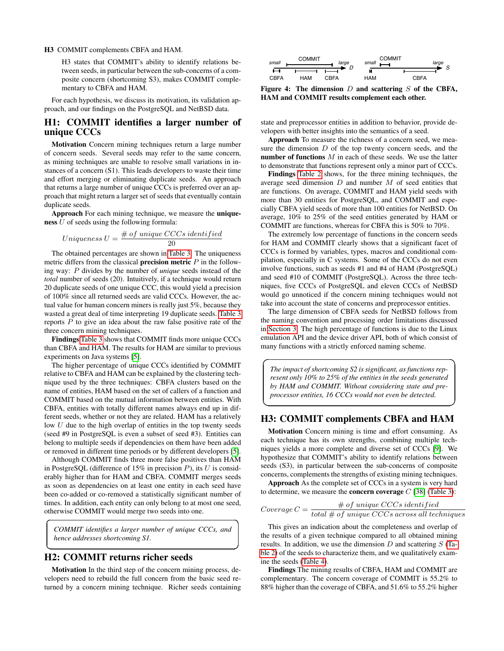#### H3 COMMIT complements CBFA and HAM.

H3 states that COMMIT's ability to identify relations between seeds, in particular between the sub-concerns of a composite concern (shortcoming S3), makes COMMIT complementary to CBFA and HAM.

For each hypothesis, we discuss its motivation, its validation approach, and our findings on the PostgreSQL and NetBSD data.

## H1: COMMIT identifies a larger number of unique CCCs

Motivation Concern mining techniques return a large number of concern seeds. Several seeds may refer to the same concern, as mining techniques are unable to resolve small variations in instances of a concern (S1). This leads developers to waste their time and effort merging or eliminating duplicate seeds. An approach that returns a large number of unique CCCs is preferred over an approach that might return a larger set of seeds that eventually contain duplicate seeds.

Approach For each mining technique, we measure the uniqueness U of seeds using the following formula:

$$
Uniqueness U = \frac{\# \ of \ unique \ CCCs \ identified}{20}
$$

The obtained percentages are shown in [Table 3.](#page-4-4) The uniqueness metric differs from the classical **precision metric**  $P$  in the following way: P divides by the number of *unique* seeds instead of the *total* number of seeds (20). Intuitively, if a technique would return 20 duplicate seeds of one unique CCC, this would yield a precision of 100% since all returned seeds are valid CCCs. However, the actual value for human concern miners is really just 5%, because they wasted a great deal of time interpreting 19 duplicate seeds. [Table 3](#page-4-4) reports  $P$  to give an idea about the raw false positive rate of the three concern mining techniques.

Findings [Table 3](#page-4-4) shows that COMMIT finds more unique CCCs than CBFA and HAM. The results for HAM are similar to previous experiments on Java systems [\[5\]](#page-8-2).

The higher percentage of unique CCCs identified by COMMIT relative to CBFA and HAM can be explained by the clustering technique used by the three techniques: CBFA clusters based on the name of entities, HAM based on the set of callers of a function and COMMIT based on the mutual information between entities. With CBFA, entities with totally different names always end up in different seeds, whether or not they are related. HAM has a relatively low  $U$  due to the high overlap of entities in the top twenty seeds (seed #9 in PostgreSQL is even a subset of seed #3). Entities can belong to multiple seeds if dependencies on them have been added or removed in different time periods or by different developers [\[5\]](#page-8-2).

Although COMMIT finds three more false positives than HAM in PostgreSQL (difference of 15% in precision  $P$ ), its U is considerably higher than for HAM and CBFA. COMMIT merges seeds as soon as dependencies on at least one entity in each seed have been co-added or co-removed a statistically significant number of times. In addition, each entity can only belong to at most one seed, otherwise COMMIT would merge two seeds into one.

*COMMIT identifies a larger number of unique CCCs, and hence addresses shortcoming S1.*

☎

☛

 $\overline{\phantom{0}}$ 

✆

#### H2: COMMIT returns richer seeds

 $\overline{a}$ 

✝

Motivation In the third step of the concern mining process, developers need to rebuild the full concern from the basic seed returned by a concern mining technique. Richer seeds containing



<span id="page-6-0"></span>Figure 4: The dimension  $D$  and scattering  $S$  of the CBFA, HAM and COMMIT results complement each other.

state and preprocessor entities in addition to behavior, provide developers with better insights into the semantics of a seed.

Approach To measure the richness of a concern seed, we measure the dimension  $D$  of the top twenty concern seeds, and the number of functions  $M$  in each of these seeds. We use the latter to demonstrate that functions represent only a minor part of CCCs.

Findings [Table 2](#page-4-3) shows, for the three mining techniques, the average seed dimension  $D$  and number  $M$  of seed entities that are functions. On average, COMMIT and HAM yield seeds with more than 30 entities for PostgreSQL, and COMMIT and especially CBFA yield seeds of more than 100 entities for NetBSD. On average, 10% to 25% of the seed entities generated by HAM or COMMIT are functions, whereas for CBFA this is 50% to 70%.

The extremely low percentage of functions in the concern seeds for HAM and COMMIT clearly shows that a significant facet of CCCs is formed by variables, types, macros and conditional compilation, especially in C systems. Some of the CCCs do not even involve functions, such as seeds #1 and #4 of HAM (PostgreSQL) and seed #10 of COMMIT (PostgreSQL). Across the three techniques, five CCCs of PostgreSQL and eleven CCCs of NetBSD would go unnoticed if the concern mining techniques would not take into account the state of concerns and preprocessor entities.

The large dimension of CBFA seeds for NetBSD follows from the naming convention and processing order limitations discussed in [Section 3.](#page-1-3) The high percentage of functions is due to the Linux emulation API and the device driver API, both of which consist of many functions with a strictly enforced naming scheme.

*The impact of shortcoming S2 is significant, as functions represent only 10% to 25% of the entities in the seeds generated by HAM and COMMIT. Without considering state and preprocessor entities, 16 CCCs would not even be detected.*

✟

✠

#### H3: COMMIT complements CBFA and HAM

Motivation Concern mining is time and effort consuming. As each technique has its own strengths, combining multiple techniques yields a more complete and diverse set of CCCs [\[9\]](#page-9-19). We hypothesize that COMMIT's ability to identify relations between seeds (S3), in particular between the sub-concerns of composite concerns, complements the strengths of existing mining techniques.

Approach As the complete set of CCCs in a system is very hard to determine, we measure the **concern coverage**  $C$  [\[38\]](#page-9-20) [\(Table 3\)](#page-4-4):

$$
Coverage C = \frac{\# of unique CCCs identified}{total \# of unique CCCs across all techniques}
$$

This gives an indication about the completeness and overlap of the results of a given technique compared to all obtained mining results. In addition, we use the dimension  $D$  and scattering  $S$  [\(Ta](#page-4-3)[ble 2\)](#page-4-3) of the seeds to characterize them, and we qualitatively examine the seeds [\(Table 4\)](#page-5-1).

Findings The mining results of CBFA, HAM and COMMIT are complementary. The concern coverage of COMMIT is 55.2% to 88% higher than the coverage of CBFA, and 51.6% to 55.2% higher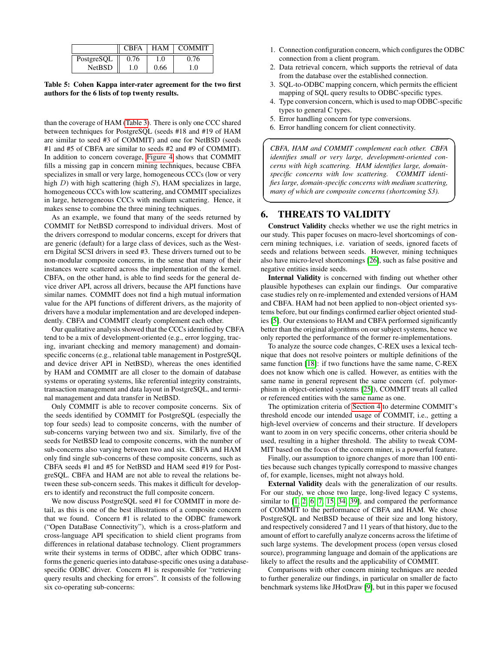|               | <b>CBFA</b> | <b>HAM</b> | <b>COMMIT</b> |
|---------------|-------------|------------|---------------|
| PostgreSQL    | 0.76        | $\Omega$   | 0.76          |
| <b>NetBSD</b> | í.O         | 0.66       | $\Omega$      |

<span id="page-7-1"></span>Table 5: Cohen Kappa inter-rater agreement for the two first authors for the 6 lists of top twenty results.

than the coverage of HAM [\(Table 3\)](#page-4-4). There is only one CCC shared between techniques for PostgreSQL (seeds #18 and #19 of HAM are similar to seed #3 of COMMIT) and one for NetBSD (seeds #1 and #5 of CBFA are similar to seeds #2 and #9 of COMMIT). In addition to concern coverage, [Figure 4](#page-6-0) shows that COMMIT fills a missing gap in concern mining techniques, because CBFA specializes in small or very large, homogeneous CCCs (low or very high  $D$ ) with high scattering (high  $S$ ), HAM specializes in large, homogeneous CCCs with low scattering, and COMMIT specializes in large, heterogeneous CCCs with medium scattering. Hence, it makes sense to combine the three mining techniques.

As an example, we found that many of the seeds returned by COMMIT for NetBSD correspond to individual drivers. Most of the drivers correspond to modular concerns, except for drivers that are generic (default) for a large class of devices, such as the Western Digital SCSI drivers in seed #3. These drivers turned out to be non-modular composite concerns, in the sense that many of their instances were scattered across the implementation of the kernel. CBFA, on the other hand, is able to find seeds for the general device driver API, across all drivers, because the API functions have similar names. COMMIT does not find a high mutual information value for the API functions of different drivers, as the majority of drivers have a modular implementation and are developed independently. CBFA and COMMIT clearly complement each other.

Our qualitative analysis showed that the CCCs identified by CBFA tend to be a mix of development-oriented (e.g., error logging, tracing, invariant checking and memory management) and domainspecific concerns (e.g., relational table management in PostgreSQL and device driver API in NetBSD), whereas the ones identified by HAM and COMMIT are all closer to the domain of database systems or operating systems, like referential integrity constraints, transaction management and data layout in PostgreSQL, and terminal management and data transfer in NetBSD.

Only COMMIT is able to recover composite concerns. Six of the seeds identified by COMMIT for PostgreSQL (especially the top four seeds) lead to composite concerns, with the number of sub-concerns varying between two and six. Similarly, five of the seeds for NetBSD lead to composite concerns, with the number of sub-concerns also varying between two and six. CBFA and HAM only find single sub-concerns of these composite concerns, such as CBFA seeds #1 and #5 for NetBSD and HAM seed #19 for PostgreSQL. CBFA and HAM are not able to reveal the relations between these sub-concern seeds. This makes it difficult for developers to identify and reconstruct the full composite concern.

We now discuss PostgreSQL seed #1 for COMMIT in more detail, as this is one of the best illustrations of a composite concern that we found. Concern #1 is related to the ODBC framework ("Open DataBase Connectivity"), which is a cross-platform and cross-language API specification to shield client programs from differences in relational database technology. Client programmers write their systems in terms of ODBC, after which ODBC transforms the generic queries into database-specific ones using a databasespecific ODBC driver. Concern #1 is responsible for "retrieving query results and checking for errors". It consists of the following six co-operating sub-concerns:

- 1. Connection configuration concern, which configures the ODBC connection from a client program.
- 2. Data retrieval concern, which supports the retrieval of data from the database over the established connection.
- 3. SQL-to-ODBC mapping concern, which permits the efficient mapping of SQL query results to ODBC-specific types.
- 4. Type conversion concern, which is used to map ODBC-specific types to general C types.

☞

- 5. Error handling concern for type conversions.
- 6. Error handling concern for client connectivity.

*CBFA, HAM and COMMIT complement each other. CBFA identifies small or very large, development-oriented concerns with high scattering. HAM identifies large, domainspecific concerns with low scattering. COMMIT identifies large, domain-specific concerns with medium scattering, many of which are composite concerns (shortcoming S3).*

# <span id="page-7-0"></span>6. THREATS TO VALIDITY

 $\overline{\phantom{0}}$ 

✍

Construct Validity checks whether we use the right metrics in our study. This paper focuses on macro-level shortcomings of concern mining techniques, i.e. variation of seeds, ignored facets of seeds and relations between seeds. However, mining techniques also have micro-level shortcomings [\[26\]](#page-9-2), such as false positive and negative entities inside seeds.

Internal Validity is concerned with finding out whether other plausible hypotheses can explain our findings. Our comparative case studies rely on re-implemented and extended versions of HAM and CBFA. HAM had not been applied to non-object oriented systems before, but our findings confirmed earlier object oriented studies [\[5\]](#page-8-2). Our extensions to HAM and CBFA performed significantly better than the original algorithms on our subject systems, hence we only reported the performance of the former re-implementations.

To analyze the source code changes, C-REX uses a lexical technique that does not resolve pointers or multiple definitions of the same function [\[18\]](#page-9-13): if two functions have the same name, C-REX does not know which one is called. However, as entities with the same name in general represent the same concern (cf. polymorphism in object-oriented systems [\[25\]](#page-9-9)), COMMIT treats all called or referenced entities with the same name as one.

The optimization criteria of [Section 4](#page-3-0) to determine COMMIT's threshold encode our intended usage of COMMIT, i.e., getting a high-level overview of concerns and their structure. If developers want to zoom in on very specific concerns, other criteria should be used, resulting in a higher threshold. The ability to tweak COM-MIT based on the focus of the concern miner, is a powerful feature.

Finally, our assumption to ignore changes of more than 100 entities because such changes typically correspond to massive changes of, for example, licenses, might not always hold.

External Validity deals with the generalization of our results. For our study, we chose two large, long-lived legacy C systems, similar to [\[1,](#page-8-0) [2,](#page-8-6) [6,](#page-8-1) [7,](#page-9-5) [15,](#page-9-21) [34,](#page-9-22) [39\]](#page-9-8), and compared the performance of COMMIT to the performance of CBFA and HAM. We chose PostgreSQL and NetBSD because of their size and long history, and respectively considered 7 and 11 years of that history, due to the amount of effort to carefully analyze concerns across the lifetime of such large systems. The development process (open versus closed source), programming language and domain of the applications are likely to affect the results and the applicability of COMMIT.

Comparisons with other concern mining techniques are needed to further generalize our findings, in particular on smaller de facto benchmark systems like JHotDraw [\[9\]](#page-9-19), but in this paper we focused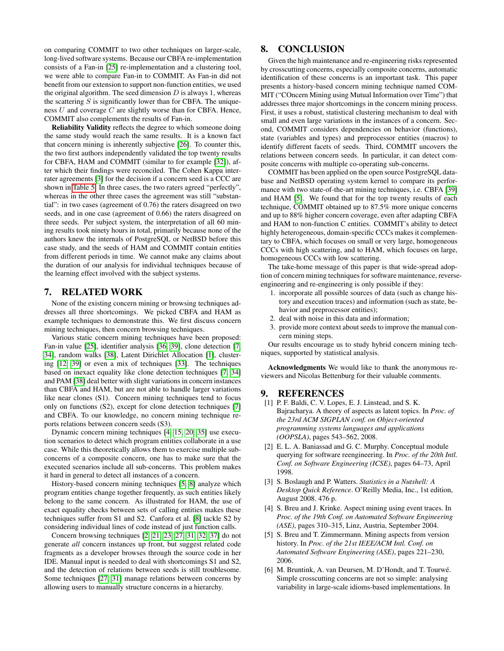on comparing COMMIT to two other techniques on larger-scale, long-lived software systems. Because our CBFA re-implementation consists of a Fan-in [\[25\]](#page-9-9) re-implementation and a clustering tool, we were able to compare Fan-in to COMMIT. As Fan-in did not benefit from our extension to support non-function entities, we used the original algorithm. The seed dimension  $D$  is always 1, whereas the scattering  $S$  is significantly lower than for CBFA. The uniqueness  $U$  and coverage  $C$  are slightly worse than for CBFA. Hence, COMMIT also complements the results of Fan-in.

Reliability Validity reflects the degree to which someone doing the same study would reach the same results. It is a known fact that concern mining is inherently subjective [\[26\]](#page-9-2). To counter this, the two first authors independently validated the top twenty results for CBFA, HAM and COMMIT (similar to for example [\[32\]](#page-9-23)), after which their findings were reconciled. The Cohen Kappa interrater agreements [\[3\]](#page-8-5) for the decision if a concern seed is a CCC are shown in [Table 5.](#page-7-1) In three cases, the two raters agreed "perfectly", whereas in the other three cases the agreement was still "substantial": in two cases (agreement of 0.76) the raters disagreed on two seeds, and in one case (agreement of 0.66) the raters disagreed on three seeds. Per subject system, the interpretation of all 60 mining results took ninety hours in total, primarily because none of the authors knew the internals of PostgreSQL or NetBSD before this case study, and the seeds of HAM and COMMIT contain entities from different periods in time. We cannot make any claims about the duration of our analysis for individual techniques because of the learning effect involved with the subject systems.

#### <span id="page-8-3"></span>7. RELATED WORK

None of the existing concern mining or browsing techniques addresses all three shortcomings. We picked CBFA and HAM as example techniques to demonstrate this. We first discuss concern mining techniques, then concern browsing techniques.

Various static concern mining techniques have been proposed: Fan-in value [\[25\]](#page-9-9), identifier analysis [\[36,](#page-9-24) [39\]](#page-9-8), clone detection [\[7,](#page-9-5) [34\]](#page-9-22), random walks [\[38\]](#page-9-20), Latent Dirichlet Allocation [\[1\]](#page-8-0), clustering [\[12,](#page-9-25) [39\]](#page-9-8) or even a mix of techniques [\[33\]](#page-9-26). The techniques based on inexact equality like clone detection techniques [\[7,](#page-9-5) [34\]](#page-9-22) and PAM [\[38\]](#page-9-20) deal better with slight variations in concern instances than CBFA and HAM, but are not able to handle larger variations like near clones (S1). Concern mining techniques tend to focus only on functions (S2), except for clone detection techniques [\[7\]](#page-9-5) and CBFA. To our knowledge, no concern mining technique reports relations between concern seeds (S3).

Dynamic concern mining techniques [\[4,](#page-8-7) [15,](#page-9-21) [20,](#page-9-27) [35\]](#page-9-28) use execution scenarios to detect which program entities collaborate in a use case. While this theoretically allows them to exercise multiple subconcerns of a composite concern, one has to make sure that the executed scenarios include all sub-concerns. This problem makes it hard in general to detect all instances of a concern.

History-based concern mining techniques [\[5,](#page-8-2) [8\]](#page-9-29) analyze which program entities change together frequently, as such entities likely belong to the same concern. As illustrated for HAM, the use of exact equality checks between sets of calling entities makes these techniques suffer from S1 and S2. Canfora et al. [\[8\]](#page-9-29) tackle S2 by considering individual lines of code instead of just function calls.

Concern browsing techniques [\[2,](#page-8-6) [21,](#page-9-30) [23,](#page-9-4) [27,](#page-9-31) [31,](#page-9-0) [32,](#page-9-23) [37\]](#page-9-32) do not generate *all* concern instances up front, but suggest related code fragments as a developer browses through the source code in her IDE. Manual input is needed to deal with shortcomings S1 and S2, and the detection of relations between seeds is still troublesome. Some techniques [\[27,](#page-9-31) [31\]](#page-9-0) manage relations between concerns by allowing users to manually structure concerns in a hierarchy.

# <span id="page-8-4"></span>8. CONCLUSION

Given the high maintenance and re-engineering risks represented by crosscutting concerns, especially composite concerns, automatic identification of these concerns is an important task. This paper presents a history-based concern mining technique named COM-MIT ("COncern Mining using Mutual Information over Time") that addresses three major shortcomings in the concern mining process. First, it uses a robust, statistical clustering mechanism to deal with small and even large variations in the instances of a concern. Second, COMMIT considers dependencies on behavior (functions), state (variables and types) and preprocessor entities (macros) to identify different facets of seeds. Third, COMMIT uncovers the relations between concern seeds. In particular, it can detect composite concerns with multiple co-operating sub-concerns.

COMMIT has been applied on the open source PostgreSQL database and NetBSD operating system kernel to compare its performance with two state-of-the-art mining techniques, i.e. CBFA [\[39\]](#page-9-8) and HAM [\[5\]](#page-8-2). We found that for the top twenty results of each technique, COMMIT obtained up to 87.5% more unique concerns and up to 88% higher concern coverage, even after adapting CBFA and HAM to non-function C entities. COMMIT's ability to detect highly heterogeneous, domain-specific CCCs makes it complementary to CBFA, which focuses on small or very large, homogeneous CCCs with high scattering, and to HAM, which focuses on large, homogeneous CCCs with low scattering.

The take-home message of this paper is that wide-spread adoption of concern mining techniques for software maintenance, reverseengineering and re-engineering is only possible if they:

- 1. incorporate all possible sources of data (such as change history and execution traces) and information (such as state, behavior and preprocessor entities);
- 2. deal with noise in this data and information;
- 3. provide more context about seeds to improve the manual concern mining steps.

Our results encourage us to study hybrid concern mining techniques, supported by statistical analysis.

Acknowledgments We would like to thank the anonymous reviewers and Nicolas Bettenburg for their valuable comments.

#### 9. REFERENCES

- <span id="page-8-0"></span>[1] P. F. Baldi, C. V. Lopes, E. J. Linstead, and S. K. Bajracharya. A theory of aspects as latent topics. In *Proc. of the 23rd ACM SIGPLAN conf. on Object-oriented programming systems languages and applications (OOPSLA)*, pages 543–562, 2008.
- <span id="page-8-6"></span>[2] E. L. A. Baniassad and G. C. Murphy. Conceptual module querying for software reengineering. In *Proc. of the 20th Intl. Conf. on Software Engineering (ICSE)*, pages 64–73, April 1998.
- <span id="page-8-5"></span>[3] S. Boslaugh and P. Watters. *Statistics in a Nutshell: A Desktop Quick Reference*. O'Reilly Media, Inc., 1st edition, August 2008. 476 p.
- <span id="page-8-7"></span>[4] S. Breu and J. Krinke. Aspect mining using event traces. In *Proc. of the 19th Conf. on Automated Software Engineering (ASE)*, pages 310–315, Linz, Austria, September 2004.
- <span id="page-8-2"></span>[5] S. Breu and T. Zimmermann. Mining aspects from version history. In *Proc. of the 21st IEEE/ACM Intl. Conf. on Automated Software Engineering (ASE)*, pages 221–230, 2006.
- <span id="page-8-1"></span>[6] M. Bruntink, A. van Deursen, M. D'Hondt, and T. Tourwé. Simple crosscutting concerns are not so simple: analysing variability in large-scale idioms-based implementations. In